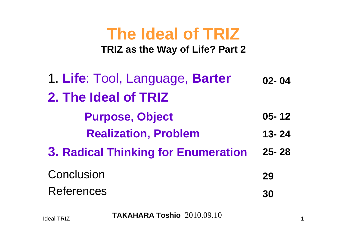## **The Ideal of TRIZ TRIZ as the Way of Life? Part 2**

| 1. Life: Tool, Language, Barter            | $02 - 04$ |
|--------------------------------------------|-----------|
| 2. The Ideal of TRIZ                       |           |
| <b>Purpose, Object</b>                     | $05 - 12$ |
| <b>Realization, Problem</b>                | $13 - 24$ |
| <b>3. Radical Thinking for Enumeration</b> | $25 - 28$ |
| Conclusion                                 | 29        |
| <b>References</b>                          | 30        |

1 **TAKAHARA Toshio** 2010.09.10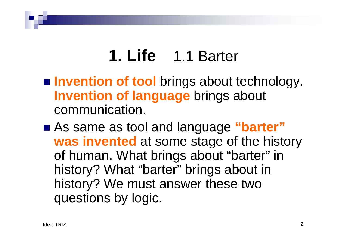# **1. Life** 1.1 Barter

- **Invention of tool** brings about technology. **Invention of language** brings about communication.
- As same as tool and language **"barter" was invented** at some stage of the history of human. What brings about "barter" in history? What "barter" brings about in history? We must answer these two questions by logic.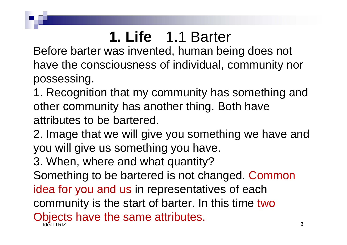# **1. Life** 1.1 Barter

Before barter was invented, human being does not have the consciousness of individual, community nor possessing.

1. Recognition that my community has something and other community has another thing. Both have attributes to be bartered.

2. Image that we will give you something we have and you will give us something you have.

3. When, where and what quantity?

Something to be bartered is not changed. Common idea for you and us in representatives of each

community is the start of barter. In this time two

Ideal TRIZz 3 Objects have the same attributes.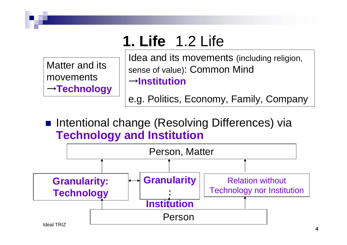# **1. Life** 1.2 Life

Matter and its movements <sup>→</sup>**Technology** Idea and its movements (including religion, sense of value): Common Mind →**Institution**

e.g. Politics, Economy, Family, Company

■ Intentional change (Resolving Differences) via **Technology and Institution**

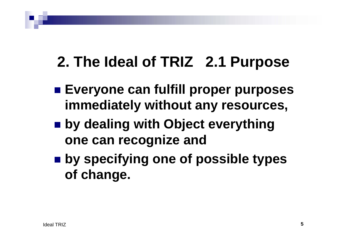# **2. The Ideal of TRIZ 2.1 Purpose**

- Everyone can fulfill proper purposes **immediately without any resources,**
- by dealing with Object everything **one can recognize and**
- **by specifying one of possible types of change.**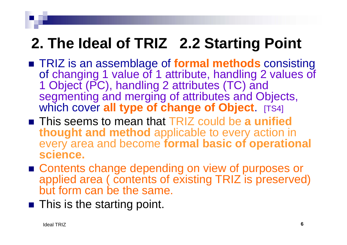# **2. The Ideal of TRIZ 2.2 Starting Point**

- TRIZ is an assemblage of **formal methods** consisting of changing 1 value of 1 attribute, handling 2 values of 1 Object (PC), handling 2 attributes (TC) and segmenting and merging of attributes and Objects, which cover **all type of change of Object**. [TS4]
- This seems to mean that TRIZ could be a unified **thought and method** applicable to every action in every area and become **formal basic of operational science.**
- Contents change depending on view of purposes or applied area ( contents of existing TRIZ is preserved) but form can be the same.
- **This is the starting point.**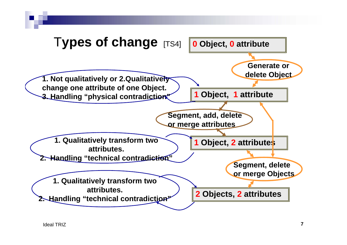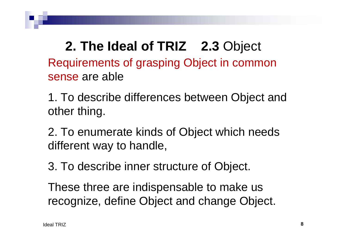## **2. The Ideal of TRIZ 2.3** Object Requirements of grasping Object in common sense are able

1. To describe differences between Object and other thing.

2. To enumerate kinds of Object which needs different way to handle,

3. To describe inner structure of Object.

These three are indispensable to make us recognize, define Object and change Object.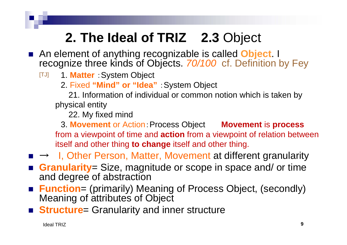## **2. The Ideal of TRIZ 2.3** Object

- An element of anything recognizable is called **Object**. I recognize three kinds of Objects. *70/100* cf. Definition by Fey
	- [TJ] 1. **Matter** :System Object
		- 2. Fixed **"Mind" or "Idea"** :System Object

21. Information of individual or common notion which is taken by physical entity

22. My fixed mind

3. **Movement** or Action:Process Object **Movement** is **process** from a viewpoint of time and **action** from a viewpoint of relation between itself and other thing **to change** itself and other thing.

- → I, Other Person, Matter, Movement at different granularity
- Granularity= Size, magnitude or scope in space and/ or time and degree of abstraction
- Function= (primarily) Meaning of Process Object, (secondly) Meaning of attributes of Object
- **Structure**= Granularity and inner structure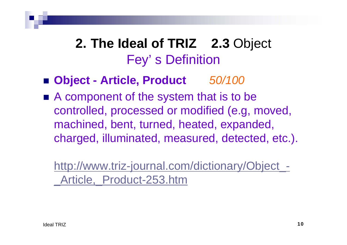## **2. The Ideal of TRIZ 2.3** Object Fey' s Definition

- **Object - Article, Product** *50/100*
- A component of the system that is to be controlled, processed or modified (e.g, moved, machined, bent, turned, heated, expanded, charged, illuminated, measured, detected, etc.).

http://www.triz-journal.com/dictionary/Object\_- Article, Product-253.htm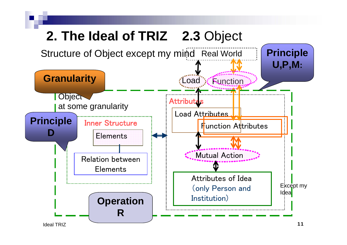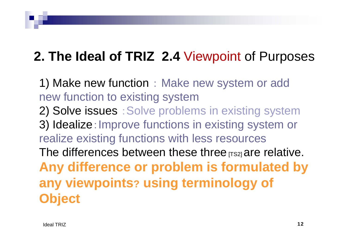# **2. The Ideal of TRIZ 2.4** Viewpoint of Purposes

1) Make new function : Make new system or add new function to existing system 2) Solve issues : Solve problems in existing system 3) Idealize:Improve functions in existing system or realize existing functions with less resources The differences between these three  $\text{Tr}\left\{S_1\right\}$  are relative. **Any difference or problem is formulated by any viewpoints? using terminology of Object**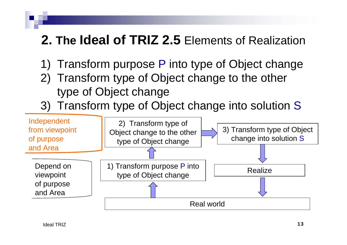### **2. The Ideal of TRIZ 2.5** Elements of Realization

- 1) Transform purpose P into type of Object change
- 2) Transform type of Object change to the other type of Object change
- 3) Transform type of Object change into solution S

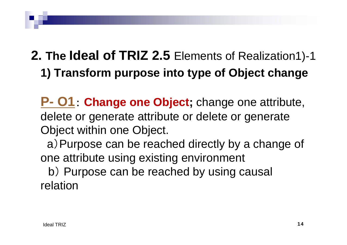# **2. The Ideal of TRIZ 2.5** Elements of Realization1)-1 **1) Transform purpose into type of Object change**

**P- O1**: **Change one Object;** change one attribute, delete or generate attribute or delete or generate Object within one Object.

<sup>a</sup>)Purpose can be reached directly by a change of one attribute using existing environment

b) Purpose can be reached by using causal relation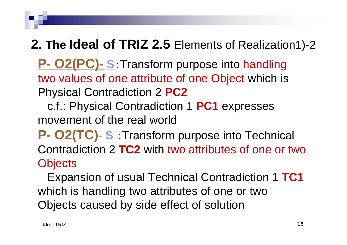## **2. The Ideal of TRIZ 2.5** Elements of Realization1)-2

**P- O2(PC)- S**:Transform purpose into handling two values of one attribute of one Object which is Physical Contradiction 2 **PC2** 

c.f.: Physical Contradiction 1 **PC1** expresses movement of the real world

**P- O2(TC)- S** :Transform purpose into Technical Contradiction 2 **TC2** with two attributes of one or two **Objects** 

Expansion of usual Technical Contradiction 1 **TC1**  which is handling two attributes of one or two Objects caused by side effect of solution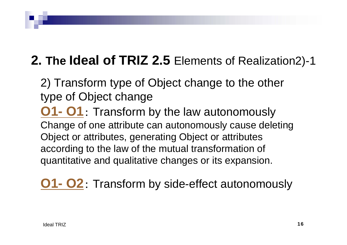## **2. The Ideal of TRIZ 2.5** Elements of Realization2)-1

2) Transform type of Object change to the other type of Object change **O1- O1**: Transform by the law autonomously Change of one attribute can autonomously cause deleting Object or attributes, generating Object or attributes according to the law of the mutual transformation of quantitative and qualitative changes or its expansion.

**O1- O2**: Transform by side-effect autonomously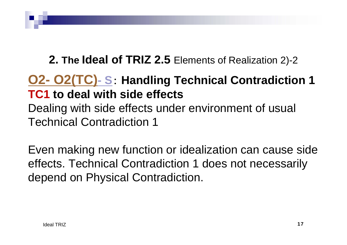#### **2. The Ideal of TRIZ 2.5** Elements of Realization 2)-2

### **O2- O2(TC)- S**: **Handling Technical Contradiction 1 TC1 to deal with side effects**

Dealing with side effects under environment of usual Technical Contradiction 1

Even making new function or idealization can cause side effects. Technical Contradiction 1 does not necessarily depend on Physical Contradiction.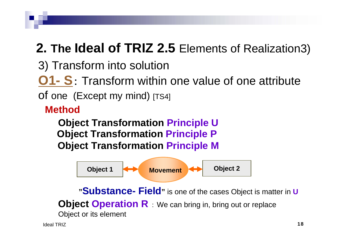# **2. The Ideal of TRIZ 2.5** Elements of Realization3)

- 3) Transform into solution
- **O1- S**: Transform within one value of one attribute

of one (Except my mind) [TS4]

**Method**

**Object Transformation Principle U Object Transformation Principle P Object Transformation Principle M**



**"Substance- Field"** is one of the cases Object is matter in **U Object Operation R** : We can bring in, bring out or replace Object or its element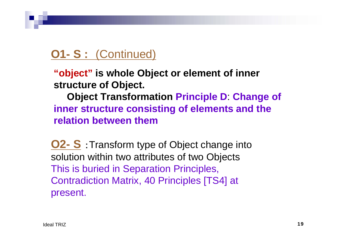#### **O1- S :** (Continued)

**"object" is whole Object or element of inner structure of Object.** 

**Object Transformation Principle D**: **Change of inner structure consisting of elements and the relation between them**

**O2- S** : Transform type of Object change into solution within two attributes of two Objects This is buried in Separation Principles, Contradiction Matrix, 40 Principles [TS4] at present.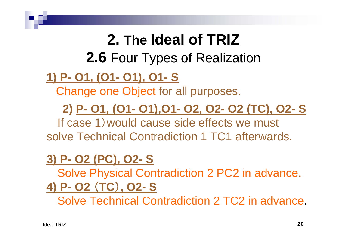# **2. The Ideal of TRIZ 2.6** Four Types of Realization

## **1) P- O1, (O1- O1), O1- S**

Change one Object for all purposes.

### **2) P- O1, (O1- O1),O1- O2, O2- O2 (TC), O2- S**

If case 1)would cause side effects we must solve Technical Contradiction 1 TC1 afterwards.

### **3) P- O2 (PC), O2- S**

Solve Physical Contradiction 2 PC2 in advance. **4) P- O2** (**TC**)**, O2- S**

Solve Technical Contradiction 2 TC2 in advance.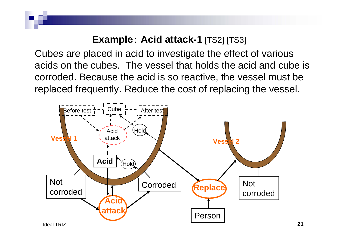#### **Example**: **Acid attack-1** [TS2] [TS3]

Cubes are placed in acid to investigate the effect of various acids on the cubes. The vessel that holds the acid and cube is corroded. Because the acid is so reactive, the vessel must be replaced frequently. Reduce the cost of replacing the vessel.

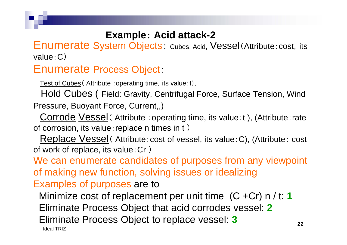#### **Example**: **Acid attack-2**

#### Enumerate System Objects: Cubes, Acid, Vessel (Attribute: cost, its value:C)

#### Enumerate Process Object:

Test of Cubes (Attribute: operating time, its value: t),

Hold Cubes ( Field: Gravity, Centrifugal Force, Surface Tension, Wind

Pressure, Buoyant Force, Current,,)

Corrode Vessel (Attribute: operating time, its value: t), (Attribute: rate of corrosion, its value:replace n times in t )

Replace Vessel( Attribute:cost of vessel, its value:C), (Attribute: cost of work of replace, its value:Cr )

We can enumerate candidates of purposes from any viewpoint of making new function, solving issues or idealizing

Examples of purposes are to

Minimize cost of replacement per unit time (C +Cr) n / t: **1**

Eliminate Process Object that acid corrodes vessel: **2**

Eliminate Process Object to replace vessel: **3**

Ideal TRIZ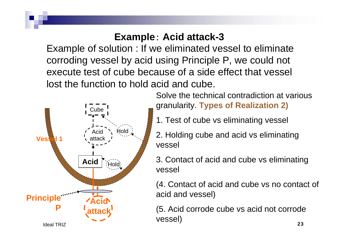#### **Example**: **Acid attack-3**

Example of solution : If we eliminated vessel to eliminate corroding vessel by acid using Principle P, we could not execute test of cube because of a side effect that vessel lost the function to hold acid and cube.



Solve the technical contradiction at various granularity. **Types of Realization 2)**

- 1. Test of cube vs eliminating vessel
- 2. Holding cube and acid vs eliminating vessel
- 3. Contact of acid and cube vs eliminating vessel

(4. Contact of acid and cube vs no contact of acid and vessel)

(5. Acid corrode cube vs acid not corrode vessel)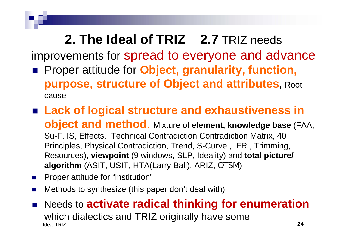# **2. The Ideal of TRIZ 2.7** TRIZ needs

improvements for spread to everyone and advance

- Proper attitude for **Object, granularity, function, purpose, structure of Object and attributes,** Root cause
- **Lack of logical structure and exhaustiveness in object and method**. Mixture of **element, knowledge base** (FAA, Su-F, IS, Effects, Technical Contradiction Contradiction Matrix, 40 Principles, Physical Contradiction, Trend, S-Curve , IFR , Trimming, Resources), **viewpoint** (9 windows, SLP, Ideality) and **total picture/ algorithm** (ASIT, USIT, HTA(Larry Ball), ARIZ, OTSM)
- p. Proper attitude for "institution"
- $\mathcal{L}_{\rm{max}}$ Methods to synthesize (this paper don't deal with)
- Ideal TRIZz 24 ■ Needs to **activate radical thinking for enumeration** which dialectics and TRIZ originally have some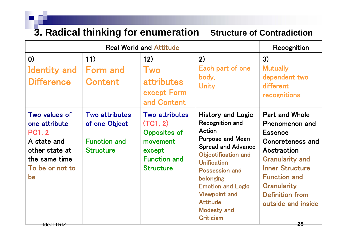#### **3. Radical thinking for enumeration Structure of Contradiction**

| <b>Real World and Attitude</b>                                                                                                                      |                                                                                   |                                                                                                                           |                                                                                                                                                                                                                                                                                                                          | Recognition                                                                                                                                                                                                                                     |
|-----------------------------------------------------------------------------------------------------------------------------------------------------|-----------------------------------------------------------------------------------|---------------------------------------------------------------------------------------------------------------------------|--------------------------------------------------------------------------------------------------------------------------------------------------------------------------------------------------------------------------------------------------------------------------------------------------------------------------|-------------------------------------------------------------------------------------------------------------------------------------------------------------------------------------------------------------------------------------------------|
| $\left( 0 \right)$<br><b>Identity and</b><br><b>Difference</b>                                                                                      | 11)<br><b>Form and</b><br><b>Content</b>                                          | 12)<br><b>Two</b><br><b>attributes</b><br>except Form<br>and Content                                                      | 2)<br>Each part of one<br>body,<br><b>Unity</b>                                                                                                                                                                                                                                                                          | 3)<br><b>Mutually</b><br>dependent two<br>different<br>recognitions                                                                                                                                                                             |
| Two values of<br>one attribute<br><b>PC1, 2</b><br>A state and<br>other state at<br>the same time<br>To be or not to<br>be<br><del>ldeal TRIZ</del> | <b>Two attributes</b><br>of one Object<br><b>Function and</b><br><b>Structure</b> | <b>Two attributes</b><br>(TC1, 2)<br><b>Opposites of</b><br>movement<br>except<br><b>Function and</b><br><b>Structure</b> | <b>History and Logic</b><br>Recognition and<br><b>Action</b><br><b>Purpose and Mean</b><br><b>Spread and Advance</b><br>Objectification and<br><b>Unification</b><br><b>Possession and</b><br>belonging<br><b>Emotion and Logic</b><br><b>Viewpoint and</b><br><b>Attitude</b><br><b>Modesty and</b><br><b>Criticism</b> | <b>Part and Whole</b><br>Phenomenon and<br><b>Essence</b><br>Concreteness and<br>Abstraction<br><b>Granularity and</b><br><b>Inner Structure</b><br><b>Function and</b><br>Granularity<br><b>Definition from</b><br>outside and inside<br>$-25$ |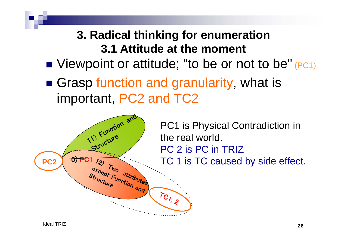### **3. Radical thinking for enumeration 3.1 Attitude at the moment**

### ■ Viewpoint or attitude; "to be or not to be" (PC1)

■ Grasp function and granularity, what is important, PC2 and TC2



PC1 is Physical Contradiction in the real world. PC 2 is PC in TRIZ

 $\frac{1}{P}$   $\frac{1}{P}$   $\frac{1}{P}$   $\frac{1}{Q}$   $\frac{1}{Q}$   $\frac{1}{Q}$   $\frac{1}{Q}$   $\frac{1}{Q}$   $\frac{1}{Q}$   $\frac{1}{Q}$   $\frac{1}{Q}$   $\frac{1}{Q}$   $\frac{1}{Q}$   $\frac{1}{Q}$   $\frac{1}{Q}$   $\frac{1}{Q}$   $\frac{1}{Q}$   $\frac{1}{Q}$   $\frac{1}{Q}$   $\frac{1}{Q}$   $\frac{1}{Q}$   $\frac{1}{Q}$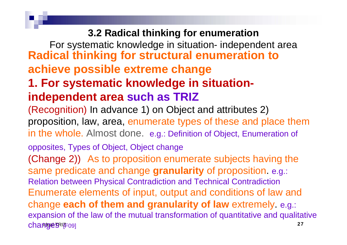#### **3.2 Radical thinking for enumeration**

<mark>changes</mark> የቦም <sub>[F09]</sub> <u>דר המודע במח</u> For systematic knowledge in situation- independent area **Radical thinking for structural enumeration to achieve possible extreme change 1. For systematic knowledge in situationindependent area such as TRIZ** (Recognition) In advance 1) on Object and attributes 2) proposition, law, area, enumerate types of these and place them in the whole. Almost done. e.g.: Definition of Object, Enumeration of opposites, Types of Object, Object change (Change 2)) As to proposition enumerate subjects having the same predicate and change **granularity** of proposition. e.g.: Relation between Physical Contradiction and Technical Contradiction Enumerate elements of input, output and conditions of law and change **each of them and granularity of law** extremely. e.g.: expansion of the law of the mutual transformation of quantitative and qualitative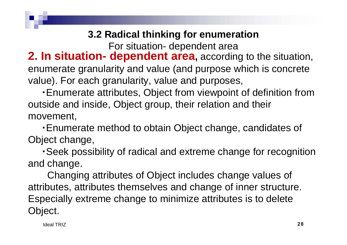#### **3.2 Radical thinking for enumeration**

For situation- dependent area

### **2. In situation- dependent area,** according to the situation, enumerate granularity and value (and purpose which is concrete

value). For each granularity, value and purposes, ・Enumerate attributes, Object from viewpoint of definition from

outside and inside, Object group, their relation and their movement,

・Enumerate method to obtain Object change, candidates of Object change,

・Seek possibility of radical and extreme change for recognition and change.

Changing attributes of Object includes change values of attributes, attributes themselves and change of inner structure. Especially extreme change to minimize attributes is to delete Object.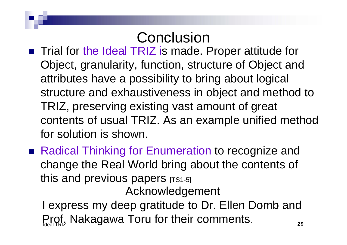# **Conclusion**

- Trial for the Ideal TRIZ is made. Proper attitude for Object, granularity, function, structure of Object and attributes have a possibility to bring about logical structure and exhaustiveness in object and method to TRIZ, preserving existing vast amount of great contents of usual TRIZ. As an example unified method for solution is shown.
- Radical Thinking for Enumeration to recognize and change the Real World bring about the contents of this and previous papers  $[TS1-5]$ Acknowledgement

Prof. Nakagawa Toru for their comments.  $P_{29}$ I express my deep gratitude to Dr. Ellen Domb and